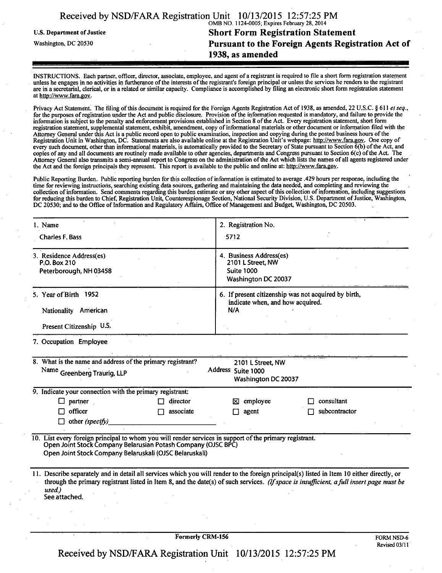|  | Received by NSD/FARA Registration Unit 10/13/2015 12:57:25 PM |  |  |
|--|---------------------------------------------------------------|--|--|
|  |                                                               |  |  |

OMB NO. 1124-0005; Expires February 28, 2014

U.S. Department of Justice **Short Form Registration Statement**<br>
Washington, DC 20530 **1989 1989 1989 1989 1989 1999 1999 1999 1999 1999 1999 1999 1999 1999 1999 1999 1999 1999 1999 199 Pursuant to the Foreign Agents Registration Act of 1938, as amended** 

INSTRUCTIONS. Each partner, officer, director, associate, employee, and agent of a registrant is required to file a short form registration statement unless he engages in no activities in furtherance of the interests ofthe registrant's foreign principal or unless the services he renders to the registrant are in a secretarial, clerical, or in a related or similar capacity. Compliance is accomplished by filing an electronic short form registration statement at http://www.fara.gov.

Privacy Act Statement. The filing of this document is required for the Foreign Agents Registration Act of 1938, as amended, 22 U.S.C. § 611 et seq., for the purposes of registration under the Act and public disclosure. Provision ofthe information requested is mandatory, and failure to provide the information is subject to the penalty and enforcement provisions established in Section 8 of the Act. Every registration statement, short form registration statement, supplemental statement, exhibit, amendment, copy of informational materials or other document or information filed with the Attorney General under this Act is a public record open to public examination, inspection and copying during the posted business hours ofthe Registration Unit in Washington, DC. Statements are also available online at the Registration Unit's webpage: http://www.fara.gov. One copy of every such document, other than informational materials, is automatically provided to the Secretary of State pursuant to Section 6(b) of the Act, and copies of any and all documents are routinely made available to other agencies, departments and Congress pursuant to Section 6(c) ofthe Act. The Attorney General also transmits a semi-annual report to Congress on the administration of the Act which lists the names of all agents registered under the Act and the foreign principals they represent. This report is available to the public and online at: http://www.fara.gov.

Public Reporting Burden.. Public reporting burden for this collection of information is estimated to average .429 hours per response, including the time for reviewing instructions, searching existing data sources, gathering and maintaining the data needed, and completing and reviewing the collection of information. Send comments regarding this burden estimate or any other aspect of this collection of information, including suggestions for reducing this burden to Chief, Registration Unit, Counterespionage Section, National Security Division, U.S. Department of Justice, Washington, DC 20530; and to the Office of Information and Regulatory Affairs, Office of Management and Budget, Washington, DC 20503.

| 1. Name                                                                                                                                                                                                                             | 2. Registration No.                                                                                                                                                                                                                                                                    |
|-------------------------------------------------------------------------------------------------------------------------------------------------------------------------------------------------------------------------------------|----------------------------------------------------------------------------------------------------------------------------------------------------------------------------------------------------------------------------------------------------------------------------------------|
| <b>Charles F. Bass</b>                                                                                                                                                                                                              | $-5712$                                                                                                                                                                                                                                                                                |
| 3. Residence Address(es)<br>P.O. Box 210<br>Peterborough, NH 03458                                                                                                                                                                  | 4. Business Address(es)<br>2101 L Street, NW<br><b>Suite 1000</b><br>Washington DC 20037                                                                                                                                                                                               |
| 5. Year of Birth 1952<br>Nationality American<br>Present Citizenship U.S.                                                                                                                                                           | 6. If present citizenship was not acquired by birth,<br>indicate when, and how acquired.<br>N/A                                                                                                                                                                                        |
| 7. Occupation Employee                                                                                                                                                                                                              |                                                                                                                                                                                                                                                                                        |
| 8. What is the name and address of the primary registrant?<br>Name Greenberg Traurig, LLP                                                                                                                                           | 2101 L Street, NW<br>Address Suite 1000<br>Washington DC 20037                                                                                                                                                                                                                         |
| 9. Indicate your connection with the primary registrant:                                                                                                                                                                            |                                                                                                                                                                                                                                                                                        |
| director<br>partner                                                                                                                                                                                                                 | consultant<br>employee<br>⊠                                                                                                                                                                                                                                                            |
| officer<br>associate<br>other (specify)                                                                                                                                                                                             | subcontractor<br>agent                                                                                                                                                                                                                                                                 |
| 10. List every foreign principal to whom you will render services in support of the primary registrant.<br>Open Joint Stock Company Belarusian Potash Company (OJSC BPC)<br>Open Joint Stock Company Belaruskali (OJSC Belaruskali) |                                                                                                                                                                                                                                                                                        |
| used.)<br>See attached.                                                                                                                                                                                                             | 11. Describe separately and in detail all services which you will render to the foreign principal(s) listed in Item 10 either directly, or<br>through the primary registrant listed in Item 8, and the date(s) of such services. (If space is insufficient, a full insert page must be |

Formerly CRM-156 FORM NSD-6

Received by NSD/FARA Registration Unit 10/13/2015 12:57:25 PM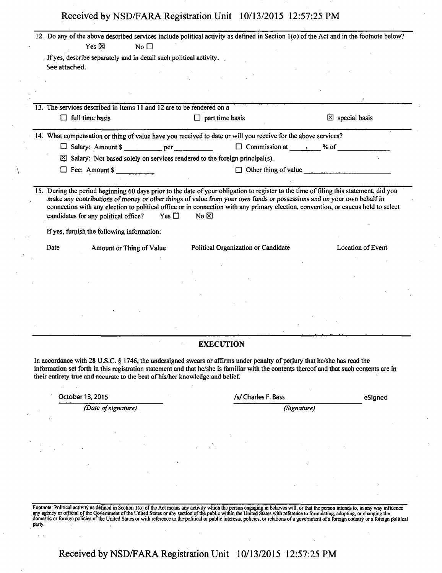| Yes $\boxtimes$<br>No $\square$<br>If yes, describe separately and in detail such political activity.<br>See attached.<br>$\boxtimes$ special basis<br>$\Box$ full time basis<br>$\Box$ part time basis<br>$\Box$ Commission at _______ % of _________<br>Salary: Amount \$ ____________ per ____________<br>$\boxtimes$ Salary: Not based solely on services rendered to the foreign principal(s).<br>$\Box$ Other thing of value $\Box$<br>Fee: Amount \$<br>make any contributions of money or other things of value from your own funds or possessions and on your own behalf in<br>connection with any election to political office or in connection with any primary election, convention, or caucus held to select<br>candidates for any political office?<br>Yes $\square$<br>No $\boxtimes$<br>If yes, furnish the following information:<br>Political Organization or Candidate<br>Location of Event<br>Date<br>Amount or Thing of Value<br><b>EXECUTION</b><br>/s/ Charles F. Bass<br>October 13, 2015<br>eSigned<br>(Date of signature)<br>(Signature) |                                                                                                                                                                                                                                                                                                                                                                              | 12. Do any of the above described services include political activity as defined in Section 1(o) of the Act and in the footnote below? |  |
|--------------------------------------------------------------------------------------------------------------------------------------------------------------------------------------------------------------------------------------------------------------------------------------------------------------------------------------------------------------------------------------------------------------------------------------------------------------------------------------------------------------------------------------------------------------------------------------------------------------------------------------------------------------------------------------------------------------------------------------------------------------------------------------------------------------------------------------------------------------------------------------------------------------------------------------------------------------------------------------------------------------------------------------------------------------------|------------------------------------------------------------------------------------------------------------------------------------------------------------------------------------------------------------------------------------------------------------------------------------------------------------------------------------------------------------------------------|----------------------------------------------------------------------------------------------------------------------------------------|--|
|                                                                                                                                                                                                                                                                                                                                                                                                                                                                                                                                                                                                                                                                                                                                                                                                                                                                                                                                                                                                                                                                    |                                                                                                                                                                                                                                                                                                                                                                              |                                                                                                                                        |  |
|                                                                                                                                                                                                                                                                                                                                                                                                                                                                                                                                                                                                                                                                                                                                                                                                                                                                                                                                                                                                                                                                    |                                                                                                                                                                                                                                                                                                                                                                              |                                                                                                                                        |  |
|                                                                                                                                                                                                                                                                                                                                                                                                                                                                                                                                                                                                                                                                                                                                                                                                                                                                                                                                                                                                                                                                    |                                                                                                                                                                                                                                                                                                                                                                              |                                                                                                                                        |  |
| 13. The services described in Items 11 and 12 are to be rendered on a<br>14. What compensation or thing of value have you received to date or will you receive for the above services?<br>15. During the period beginning 60 days prior to the date of your obligation to register to the time of filing this statement, did you<br>In accordance with 28 U.S.C. § 1746, the undersigned swears or affirms under penalty of perjury that he/she has read the<br>information set forth in this registration statement and that he/she is familiar with the contents thereof and that such contents are in<br>their entirety true and accurate to the best of his/her knowledge and belief.                                                                                                                                                                                                                                                                                                                                                                          |                                                                                                                                                                                                                                                                                                                                                                              |                                                                                                                                        |  |
|                                                                                                                                                                                                                                                                                                                                                                                                                                                                                                                                                                                                                                                                                                                                                                                                                                                                                                                                                                                                                                                                    |                                                                                                                                                                                                                                                                                                                                                                              |                                                                                                                                        |  |
|                                                                                                                                                                                                                                                                                                                                                                                                                                                                                                                                                                                                                                                                                                                                                                                                                                                                                                                                                                                                                                                                    |                                                                                                                                                                                                                                                                                                                                                                              |                                                                                                                                        |  |
|                                                                                                                                                                                                                                                                                                                                                                                                                                                                                                                                                                                                                                                                                                                                                                                                                                                                                                                                                                                                                                                                    |                                                                                                                                                                                                                                                                                                                                                                              |                                                                                                                                        |  |
|                                                                                                                                                                                                                                                                                                                                                                                                                                                                                                                                                                                                                                                                                                                                                                                                                                                                                                                                                                                                                                                                    |                                                                                                                                                                                                                                                                                                                                                                              |                                                                                                                                        |  |
|                                                                                                                                                                                                                                                                                                                                                                                                                                                                                                                                                                                                                                                                                                                                                                                                                                                                                                                                                                                                                                                                    |                                                                                                                                                                                                                                                                                                                                                                              |                                                                                                                                        |  |
|                                                                                                                                                                                                                                                                                                                                                                                                                                                                                                                                                                                                                                                                                                                                                                                                                                                                                                                                                                                                                                                                    |                                                                                                                                                                                                                                                                                                                                                                              |                                                                                                                                        |  |
|                                                                                                                                                                                                                                                                                                                                                                                                                                                                                                                                                                                                                                                                                                                                                                                                                                                                                                                                                                                                                                                                    |                                                                                                                                                                                                                                                                                                                                                                              |                                                                                                                                        |  |
|                                                                                                                                                                                                                                                                                                                                                                                                                                                                                                                                                                                                                                                                                                                                                                                                                                                                                                                                                                                                                                                                    |                                                                                                                                                                                                                                                                                                                                                                              |                                                                                                                                        |  |
|                                                                                                                                                                                                                                                                                                                                                                                                                                                                                                                                                                                                                                                                                                                                                                                                                                                                                                                                                                                                                                                                    |                                                                                                                                                                                                                                                                                                                                                                              |                                                                                                                                        |  |
|                                                                                                                                                                                                                                                                                                                                                                                                                                                                                                                                                                                                                                                                                                                                                                                                                                                                                                                                                                                                                                                                    |                                                                                                                                                                                                                                                                                                                                                                              |                                                                                                                                        |  |
|                                                                                                                                                                                                                                                                                                                                                                                                                                                                                                                                                                                                                                                                                                                                                                                                                                                                                                                                                                                                                                                                    |                                                                                                                                                                                                                                                                                                                                                                              |                                                                                                                                        |  |
|                                                                                                                                                                                                                                                                                                                                                                                                                                                                                                                                                                                                                                                                                                                                                                                                                                                                                                                                                                                                                                                                    |                                                                                                                                                                                                                                                                                                                                                                              |                                                                                                                                        |  |
|                                                                                                                                                                                                                                                                                                                                                                                                                                                                                                                                                                                                                                                                                                                                                                                                                                                                                                                                                                                                                                                                    |                                                                                                                                                                                                                                                                                                                                                                              |                                                                                                                                        |  |
|                                                                                                                                                                                                                                                                                                                                                                                                                                                                                                                                                                                                                                                                                                                                                                                                                                                                                                                                                                                                                                                                    |                                                                                                                                                                                                                                                                                                                                                                              |                                                                                                                                        |  |
|                                                                                                                                                                                                                                                                                                                                                                                                                                                                                                                                                                                                                                                                                                                                                                                                                                                                                                                                                                                                                                                                    |                                                                                                                                                                                                                                                                                                                                                                              |                                                                                                                                        |  |
|                                                                                                                                                                                                                                                                                                                                                                                                                                                                                                                                                                                                                                                                                                                                                                                                                                                                                                                                                                                                                                                                    |                                                                                                                                                                                                                                                                                                                                                                              |                                                                                                                                        |  |
|                                                                                                                                                                                                                                                                                                                                                                                                                                                                                                                                                                                                                                                                                                                                                                                                                                                                                                                                                                                                                                                                    |                                                                                                                                                                                                                                                                                                                                                                              |                                                                                                                                        |  |
|                                                                                                                                                                                                                                                                                                                                                                                                                                                                                                                                                                                                                                                                                                                                                                                                                                                                                                                                                                                                                                                                    |                                                                                                                                                                                                                                                                                                                                                                              |                                                                                                                                        |  |
|                                                                                                                                                                                                                                                                                                                                                                                                                                                                                                                                                                                                                                                                                                                                                                                                                                                                                                                                                                                                                                                                    |                                                                                                                                                                                                                                                                                                                                                                              |                                                                                                                                        |  |
|                                                                                                                                                                                                                                                                                                                                                                                                                                                                                                                                                                                                                                                                                                                                                                                                                                                                                                                                                                                                                                                                    |                                                                                                                                                                                                                                                                                                                                                                              |                                                                                                                                        |  |
|                                                                                                                                                                                                                                                                                                                                                                                                                                                                                                                                                                                                                                                                                                                                                                                                                                                                                                                                                                                                                                                                    |                                                                                                                                                                                                                                                                                                                                                                              |                                                                                                                                        |  |
|                                                                                                                                                                                                                                                                                                                                                                                                                                                                                                                                                                                                                                                                                                                                                                                                                                                                                                                                                                                                                                                                    |                                                                                                                                                                                                                                                                                                                                                                              |                                                                                                                                        |  |
|                                                                                                                                                                                                                                                                                                                                                                                                                                                                                                                                                                                                                                                                                                                                                                                                                                                                                                                                                                                                                                                                    |                                                                                                                                                                                                                                                                                                                                                                              |                                                                                                                                        |  |
|                                                                                                                                                                                                                                                                                                                                                                                                                                                                                                                                                                                                                                                                                                                                                                                                                                                                                                                                                                                                                                                                    |                                                                                                                                                                                                                                                                                                                                                                              |                                                                                                                                        |  |
|                                                                                                                                                                                                                                                                                                                                                                                                                                                                                                                                                                                                                                                                                                                                                                                                                                                                                                                                                                                                                                                                    |                                                                                                                                                                                                                                                                                                                                                                              |                                                                                                                                        |  |
|                                                                                                                                                                                                                                                                                                                                                                                                                                                                                                                                                                                                                                                                                                                                                                                                                                                                                                                                                                                                                                                                    |                                                                                                                                                                                                                                                                                                                                                                              |                                                                                                                                        |  |
|                                                                                                                                                                                                                                                                                                                                                                                                                                                                                                                                                                                                                                                                                                                                                                                                                                                                                                                                                                                                                                                                    |                                                                                                                                                                                                                                                                                                                                                                              |                                                                                                                                        |  |
|                                                                                                                                                                                                                                                                                                                                                                                                                                                                                                                                                                                                                                                                                                                                                                                                                                                                                                                                                                                                                                                                    |                                                                                                                                                                                                                                                                                                                                                                              |                                                                                                                                        |  |
|                                                                                                                                                                                                                                                                                                                                                                                                                                                                                                                                                                                                                                                                                                                                                                                                                                                                                                                                                                                                                                                                    |                                                                                                                                                                                                                                                                                                                                                                              |                                                                                                                                        |  |
|                                                                                                                                                                                                                                                                                                                                                                                                                                                                                                                                                                                                                                                                                                                                                                                                                                                                                                                                                                                                                                                                    |                                                                                                                                                                                                                                                                                                                                                                              |                                                                                                                                        |  |
| Footnote: Political activity as defined in Section 1(o) of the Act means any activity which the person engaging in believes will, or that the person intends to, in any way influence                                                                                                                                                                                                                                                                                                                                                                                                                                                                                                                                                                                                                                                                                                                                                                                                                                                                              |                                                                                                                                                                                                                                                                                                                                                                              |                                                                                                                                        |  |
|                                                                                                                                                                                                                                                                                                                                                                                                                                                                                                                                                                                                                                                                                                                                                                                                                                                                                                                                                                                                                                                                    |                                                                                                                                                                                                                                                                                                                                                                              |                                                                                                                                        |  |
|                                                                                                                                                                                                                                                                                                                                                                                                                                                                                                                                                                                                                                                                                                                                                                                                                                                                                                                                                                                                                                                                    | any agency or official of the Government of the United States or any section of the public within the United States with reference to formulating, adopting, or changing the<br>domestic or foreign policies of the United States or with reference to the political or public interests, policies, or relations of a government of a foreign country or a foreign political |                                                                                                                                        |  |

**Received by NSD/FARA Registration Unit 10/13/2015 12:57:25 PM**